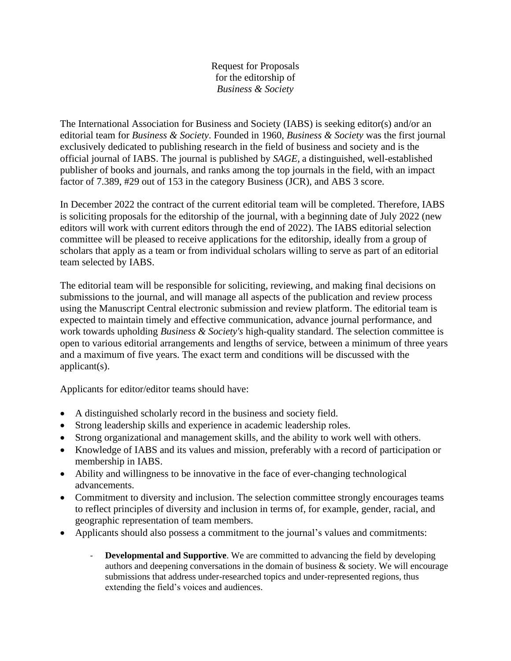Request for Proposals for the editorship of *Business & Society*

The International Association for Business and Society (IABS) is seeking editor(s) and/or an editorial team for *Business & Society*. Founded in 1960, *Business & Society* was the first journal exclusively dedicated to publishing research in the field of business and society and is the official journal of IABS. The journal is published by *SAGE,* a distinguished, well-established publisher of books and journals, and ranks among the top journals in the field, with an impact factor of 7.389, #29 out of 153 in the category Business (JCR), and ABS 3 score.

In December 2022 the contract of the current editorial team will be completed. Therefore, IABS is soliciting proposals for the editorship of the journal, with a beginning date of July 2022 (new editors will work with current editors through the end of 2022). The IABS editorial selection committee will be pleased to receive applications for the editorship, ideally from a group of scholars that apply as a team or from individual scholars willing to serve as part of an editorial team selected by IABS.

The editorial team will be responsible for soliciting, reviewing, and making final decisions on submissions to the journal, and will manage all aspects of the publication and review process using the Manuscript Central electronic submission and review platform. The editorial team is expected to maintain timely and effective communication, advance journal performance, and work towards upholding *Business & Society's* high-quality standard. The selection committee is open to various editorial arrangements and lengths of service, between a minimum of three years and a maximum of five years. The exact term and conditions will be discussed with the applicant(s).

Applicants for editor/editor teams should have:

- A distinguished scholarly record in the business and society field.
- Strong leadership skills and experience in academic leadership roles.
- Strong organizational and management skills, and the ability to work well with others.
- Knowledge of IABS and its values and mission, preferably with a record of participation or membership in IABS.
- Ability and willingness to be innovative in the face of ever-changing technological advancements.
- Commitment to diversity and inclusion. The selection committee strongly encourages teams to reflect principles of diversity and inclusion in terms of, for example, gender, racial, and geographic representation of team members.
- Applicants should also possess a commitment to the journal's values and commitments:
	- **Developmental and Supportive**. We are committed to advancing the field by developing authors and deepening conversations in the domain of business  $\&$  society. We will encourage submissions that address under-researched topics and under-represented regions, thus extending the field's voices and audiences.